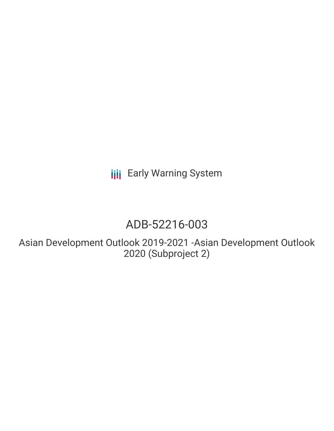# **III** Early Warning System

## ADB-52216-003

Asian Development Outlook 2019-2021 -Asian Development Outlook 2020 (Subproject 2)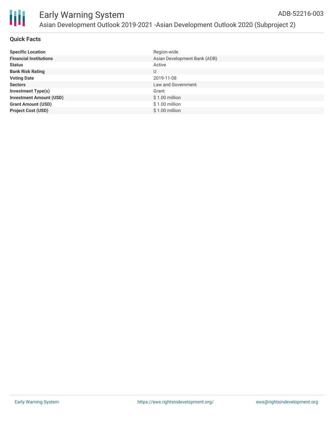

| <b>Specific Location</b>       | Region-wide                  |
|--------------------------------|------------------------------|
| <b>Financial Institutions</b>  | Asian Development Bank (ADB) |
| <b>Status</b>                  | Active                       |
| <b>Bank Risk Rating</b>        | U                            |
| <b>Voting Date</b>             | 2019-11-08                   |
| <b>Sectors</b>                 | Law and Government           |
| <b>Investment Type(s)</b>      | Grant                        |
| <b>Investment Amount (USD)</b> | $$1.00$ million              |
| <b>Grant Amount (USD)</b>      | $$1.00$ million              |
| <b>Project Cost (USD)</b>      | \$1.00 million               |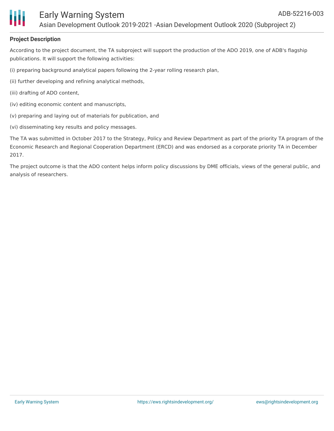

#### **Project Description**

According to the project document, the TA subproject will support the production of the ADO 2019, one of ADB's flagship publications. It will support the following activities:

(i) preparing background analytical papers following the 2-year rolling research plan,

(ii) further developing and refining analytical methods,

- (iii) drafting of ADO content,
- (iv) editing economic content and manuscripts,
- (v) preparing and laying out of materials for publication, and
- (vi) disseminating key results and policy messages.

The TA was submitted in October 2017 to the Strategy, Policy and Review Department as part of the priority TA program of the Economic Research and Regional Cooperation Department (ERCD) and was endorsed as a corporate priority TA in December 2017.

The project outcome is that the ADO content helps inform policy discussions by DME officials, views of the general public, and analysis of researchers.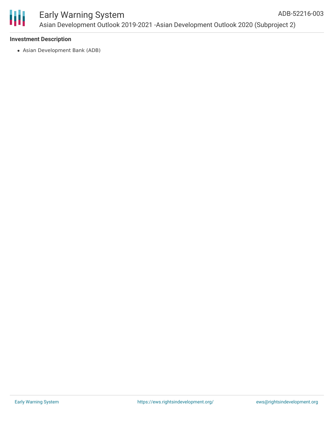

#### Early Warning System Asian Development Outlook 2019-2021 -Asian Development Outlook 2020 (Subproject 2) ADB-52216-003

#### **Investment Description**

Asian Development Bank (ADB)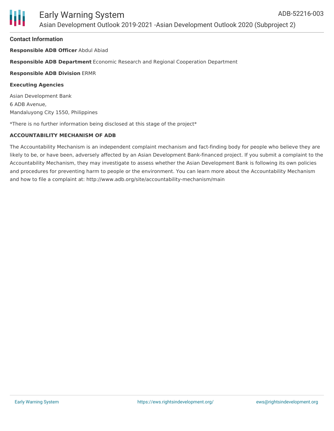

#### **Contact Information**

**Responsible ADB Officer** Abdul Abiad

#### **Responsible ADB Department** Economic Research and Regional Cooperation Department

#### **Responsible ADB Division** ERMR

#### **Executing Agencies**

Asian Development Bank 6 ADB Avenue, Mandaluyong City 1550, Philippines

\*There is no further information being disclosed at this stage of the project\*

#### **ACCOUNTABILITY MECHANISM OF ADB**

The Accountability Mechanism is an independent complaint mechanism and fact-finding body for people who believe they are likely to be, or have been, adversely affected by an Asian Development Bank-financed project. If you submit a complaint to the Accountability Mechanism, they may investigate to assess whether the Asian Development Bank is following its own policies and procedures for preventing harm to people or the environment. You can learn more about the Accountability Mechanism and how to file a complaint at: http://www.adb.org/site/accountability-mechanism/main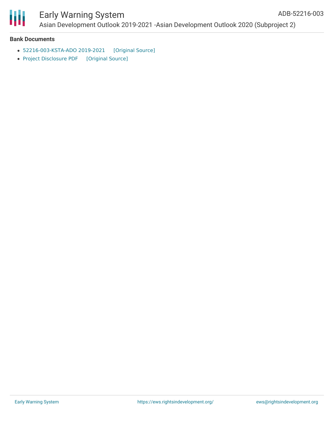

# Ш

### Early Warning System Asian Development Outlook 2019-2021 -Asian Development Outlook 2020 (Subproject 2)

#### **Bank Documents**

- [52216-003-KSTA-ADO](https://ewsdata.rightsindevelopment.org/files/documents/03/ADB-52216-003_NRX4sjH.pdf) 2019-2021 [\[Original](https://www.adb.org/sites/default/files/project-documents/52216/52216-003-tasp-en.pdf) Source]
- Project [Disclosure](https://ewsdata.rightsindevelopment.org/files/documents/03/ADB-52216-003.pdf) PDF [\[Original](https://www.adb.org/printpdf/projects/52216-003/main) Source]